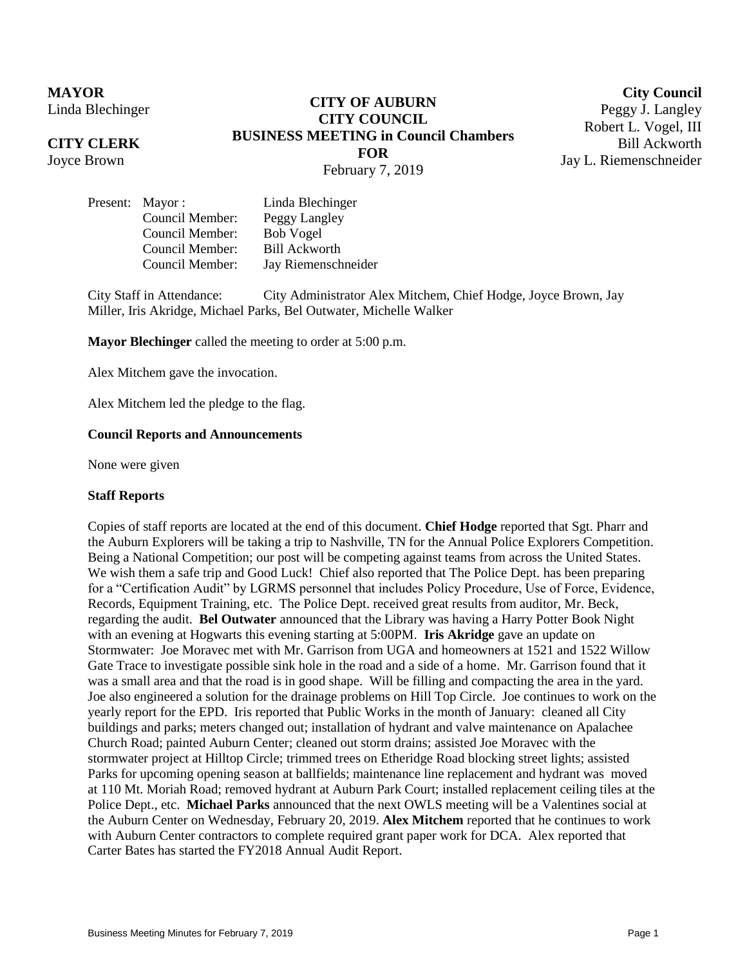## **MAYOR** Linda Blechinger

## **CITY CLERK**

Joyce Brown

# **CITY OF AUBURN CITY COUNCIL BUSINESS MEETING in Council Chambers FOR** February 7, 2019

**City Council** Peggy J. Langley Robert L. Vogel, III Bill Ackworth Jay L. Riemenschneider

|  | Present: Mayor : | Linda Blechinger     |
|--|------------------|----------------------|
|  | Council Member:  | Peggy Langley        |
|  | Council Member:  | <b>Bob Vogel</b>     |
|  | Council Member:  | <b>Bill Ackworth</b> |
|  | Council Member:  | Jay Riemenschneider  |

City Staff in Attendance: City Administrator Alex Mitchem, Chief Hodge, Joyce Brown, Jay Miller, Iris Akridge, Michael Parks, Bel Outwater, Michelle Walker

**Mayor Blechinger** called the meeting to order at 5:00 p.m.

Alex Mitchem gave the invocation.

Alex Mitchem led the pledge to the flag.

#### **Council Reports and Announcements**

None were given

#### **Staff Reports**

Copies of staff reports are located at the end of this document. **Chief Hodge** reported that Sgt. Pharr and the Auburn Explorers will be taking a trip to Nashville, TN for the Annual Police Explorers Competition. Being a National Competition; our post will be competing against teams from across the United States. We wish them a safe trip and Good Luck! Chief also reported that The Police Dept. has been preparing for a "Certification Audit" by LGRMS personnel that includes Policy Procedure, Use of Force, Evidence, Records, Equipment Training, etc. The Police Dept. received great results from auditor, Mr. Beck, regarding the audit. **Bel Outwater** announced that the Library was having a Harry Potter Book Night with an evening at Hogwarts this evening starting at 5:00PM. **Iris Akridge** gave an update on Stormwater: Joe Moravec met with Mr. Garrison from UGA and homeowners at 1521 and 1522 Willow Gate Trace to investigate possible sink hole in the road and a side of a home. Mr. Garrison found that it was a small area and that the road is in good shape. Will be filling and compacting the area in the yard. Joe also engineered a solution for the drainage problems on Hill Top Circle. Joe continues to work on the yearly report for the EPD. Iris reported that Public Works in the month of January: cleaned all City buildings and parks; meters changed out; installation of hydrant and valve maintenance on Apalachee Church Road; painted Auburn Center; cleaned out storm drains; assisted Joe Moravec with the stormwater project at Hilltop Circle; trimmed trees on Etheridge Road blocking street lights; assisted Parks for upcoming opening season at ballfields; maintenance line replacement and hydrant was moved at 110 Mt. Moriah Road; removed hydrant at Auburn Park Court; installed replacement ceiling tiles at the Police Dept., etc. **Michael Parks** announced that the next OWLS meeting will be a Valentines social at the Auburn Center on Wednesday, February 20, 2019. **Alex Mitchem** reported that he continues to work with Auburn Center contractors to complete required grant paper work for DCA. Alex reported that Carter Bates has started the FY2018 Annual Audit Report.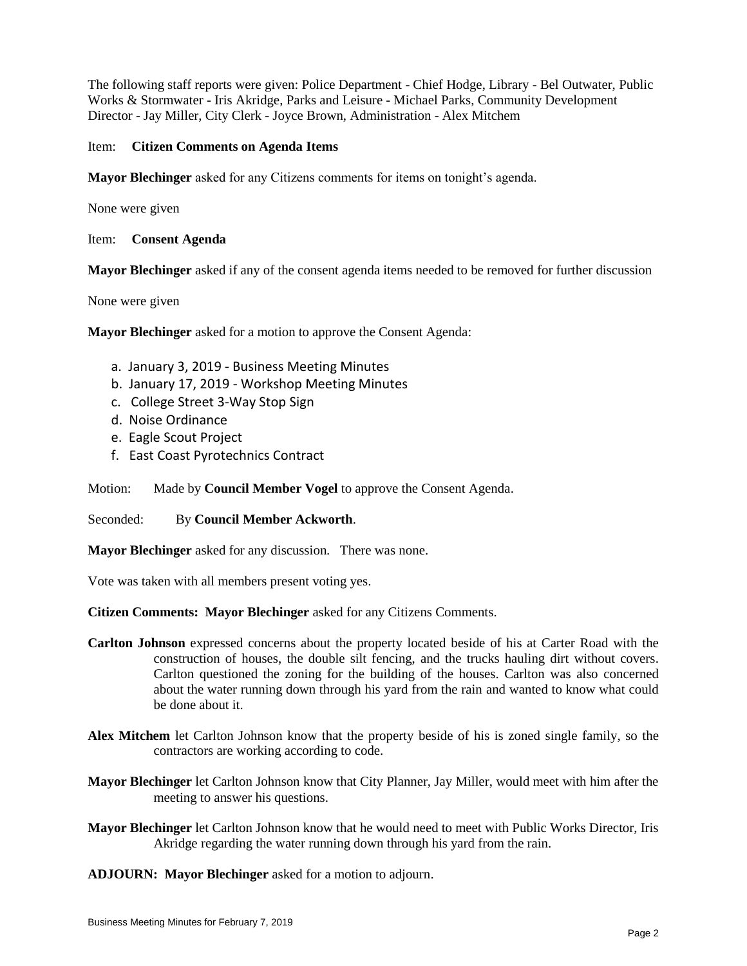The following staff reports were given: Police Department - Chief Hodge, Library - Bel Outwater, Public Works & Stormwater - Iris Akridge, Parks and Leisure - Michael Parks, Community Development Director - Jay Miller, City Clerk - Joyce Brown, Administration - Alex Mitchem

### Item: **Citizen Comments on Agenda Items**

**Mayor Blechinger** asked for any Citizens comments for items on tonight's agenda.

None were given

Item: **Consent Agenda**

**Mayor Blechinger** asked if any of the consent agenda items needed to be removed for further discussion

None were given

**Mayor Blechinger** asked for a motion to approve the Consent Agenda:

- a. January 3, 2019 Business Meeting Minutes
- b. January 17, 2019 Workshop Meeting Minutes
- c. College Street 3-Way Stop Sign
- d. Noise Ordinance
- e. Eagle Scout Project
- f. East Coast Pyrotechnics Contract

Motion: Made by **Council Member Vogel** to approve the Consent Agenda.

Seconded: By **Council Member Ackworth**.

**Mayor Blechinger** asked for any discussion. There was none.

Vote was taken with all members present voting yes.

**Citizen Comments: Mayor Blechinger** asked for any Citizens Comments.

- **Carlton Johnson** expressed concerns about the property located beside of his at Carter Road with the construction of houses, the double silt fencing, and the trucks hauling dirt without covers. Carlton questioned the zoning for the building of the houses. Carlton was also concerned about the water running down through his yard from the rain and wanted to know what could be done about it.
- **Alex Mitchem** let Carlton Johnson know that the property beside of his is zoned single family, so the contractors are working according to code.
- **Mayor Blechinger** let Carlton Johnson know that City Planner, Jay Miller, would meet with him after the meeting to answer his questions.
- **Mayor Blechinger** let Carlton Johnson know that he would need to meet with Public Works Director, Iris Akridge regarding the water running down through his yard from the rain.

**ADJOURN: Mayor Blechinger** asked for a motion to adjourn.